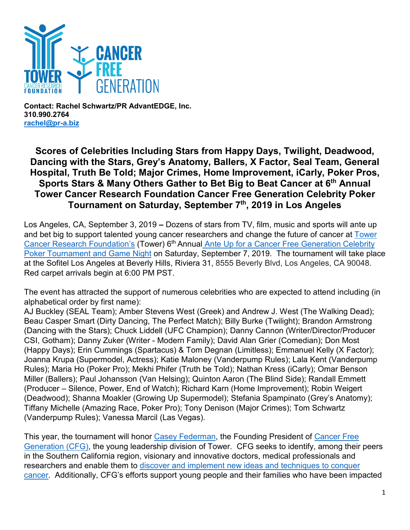

**Contact: Rachel Schwartz/PR AdvantEDGE, Inc. 310.990.2764 [rachel@pr-a.biz](mailto:rachel@pr-a.biz)**

## **Scores of Celebrities Including Stars from Happy Days, Twilight, Deadwood, Dancing with the Stars, Grey's Anatomy, Ballers, X Factor, Seal Team, General Hospital, Truth Be Told; Major Crimes, Home Improvement, iCarly, Poker Pros, Sports Stars & Many Others Gather to Bet Big to Beat Cancer at 6th Annual Tower Cancer Research Foundation Cancer Free Generation Celebrity Poker Tournament on Saturday, September 7th, 2019 in Los Angeles**

Los Angeles, CA, September 3, 2019 **–** Dozens of stars from TV, film, music and sports will ante up and bet big to support talented young cancer researchers and change the future of cancer at [Tower](http://towercancer.org/)  [Cancer Research Foundation's](http://towercancer.org/) (Tower) 6th Annual [Ante Up for a Cancer Free Generation Celebrity](https://one.bidpal.net/cfgpoker2019/welcome)  [Poker Tournament and Game](https://one.bidpal.net/cfgpoker2019/welcome) Night on Saturday, September 7, 2019. The tournament will take place at the Sofitel Los Angeles at Beverly Hills, Riviera 31, 8555 Beverly Blvd, Los Angeles, CA 90048. Red carpet arrivals begin at 6:00 PM PST.

The event has attracted the support of numerous celebrities who are expected to attend including (in alphabetical order by first name):

AJ Buckley (SEAL Team); Amber Stevens West (Greek) and Andrew J. West (The Walking Dead); Beau Casper Smart (Dirty Dancing, The Perfect Match); Billy Burke (Twilight); Brandon Armstrong (Dancing with the Stars); Chuck Liddell (UFC Champion); Danny Cannon (Writer/Director/Producer CSI, Gotham); Danny Zuker (Writer - Modern Family); David Alan Grier (Comedian); Don Most (Happy Days); Erin Cummings (Spartacus) & Tom Degnan (Limitless); Emmanuel Kelly (X Factor); Joanna Krupa (Supermodel, Actress); Katie Maloney (Vanderpump Rules); Lala Kent (Vanderpump Rules); Maria Ho (Poker Pro); Mekhi Phifer (Truth be Told); Nathan Kress (iCarly); Omar Benson Miller (Ballers); Paul Johansson (Van Helsing); Quinton Aaron (The Blind Side); Randall Emmett (Producer – Silence, Power, End of Watch); Richard Karn (Home Improvement); Robin Weigert (Deadwood); Shanna Moakler (Growing Up Supermodel); Stefania Spampinato (Grey's Anatomy); Tiffany Michelle (Amazing Race, Poker Pro); Tony Denison (Major Crimes); Tom Schwartz (Vanderpump Rules); Vanessa Marcil (Las Vegas).

This year, the tournament will honor [Casey Federman,](https://www.towercancer.org/bio-casey-federman/) the Founding President of [Cancer Free](https://www.towercancer.org/cancer-free-generation/)  [Generation \(CFG\),](https://www.towercancer.org/cancer-free-generation/) the young leadership division of Tower. CFG seeks to identify, among their peers in the Southern California region, visionary and innovative doctors, medical professionals and researchers and enable them to [discover and implement new ideas and techniques to conquer](http://towercancer.org/research-grants-about/)  [cancer.](http://towercancer.org/research-grants-about/) Additionally, CFG's efforts support young people and their families who have been impacted